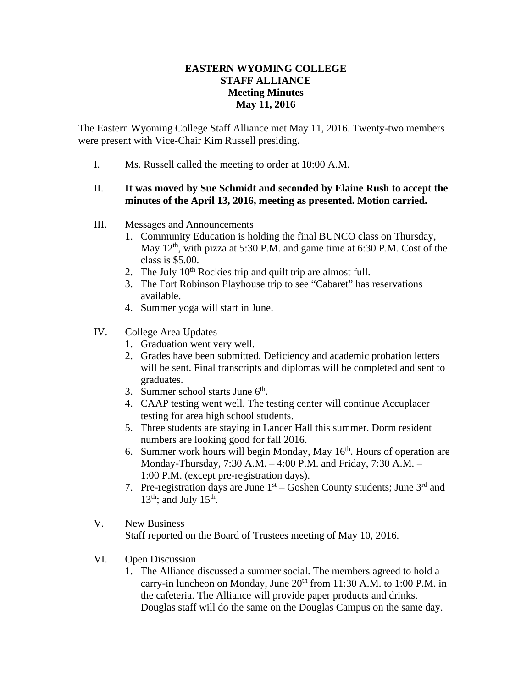## **EASTERN WYOMING COLLEGE STAFF ALLIANCE Meeting Minutes May 11, 2016**

The Eastern Wyoming College Staff Alliance met May 11, 2016. Twenty-two members were present with Vice-Chair Kim Russell presiding.

I. Ms. Russell called the meeting to order at 10:00 A.M.

## II. **It was moved by Sue Schmidt and seconded by Elaine Rush to accept the minutes of the April 13, 2016, meeting as presented. Motion carried.**

- III. Messages and Announcements
	- 1. Community Education is holding the final BUNCO class on Thursday, May  $12<sup>th</sup>$ , with pizza at 5:30 P.M. and game time at 6:30 P.M. Cost of the class is \$5.00.
	- 2. The July  $10<sup>th</sup>$  Rockies trip and quilt trip are almost full.
	- 3. The Fort Robinson Playhouse trip to see "Cabaret" has reservations available.
	- 4. Summer yoga will start in June.
- IV. College Area Updates
	- 1. Graduation went very well.
	- 2. Grades have been submitted. Deficiency and academic probation letters will be sent. Final transcripts and diplomas will be completed and sent to graduates.
	- 3. Summer school starts June  $6<sup>th</sup>$ .
	- 4. CAAP testing went well. The testing center will continue Accuplacer testing for area high school students.
	- 5. Three students are staying in Lancer Hall this summer. Dorm resident numbers are looking good for fall 2016.
	- 6. Summer work hours will begin Monday, May  $16<sup>th</sup>$ . Hours of operation are Monday-Thursday, 7:30 A.M. – 4:00 P.M. and Friday, 7:30 A.M. – 1:00 P.M. (except pre-registration days).
	- 7. Pre-registration days are June  $1<sup>st</sup>$  Goshen County students; June  $3<sup>rd</sup>$  and  $13<sup>th</sup>$ ; and July  $15<sup>th</sup>$ .
- V. New Business Staff reported on the Board of Trustees meeting of May 10, 2016.
- VI. Open Discussion
	- 1. The Alliance discussed a summer social. The members agreed to hold a carry-in luncheon on Monday, June  $20<sup>th</sup>$  from 11:30 A.M. to 1:00 P.M. in the cafeteria. The Alliance will provide paper products and drinks. Douglas staff will do the same on the Douglas Campus on the same day.